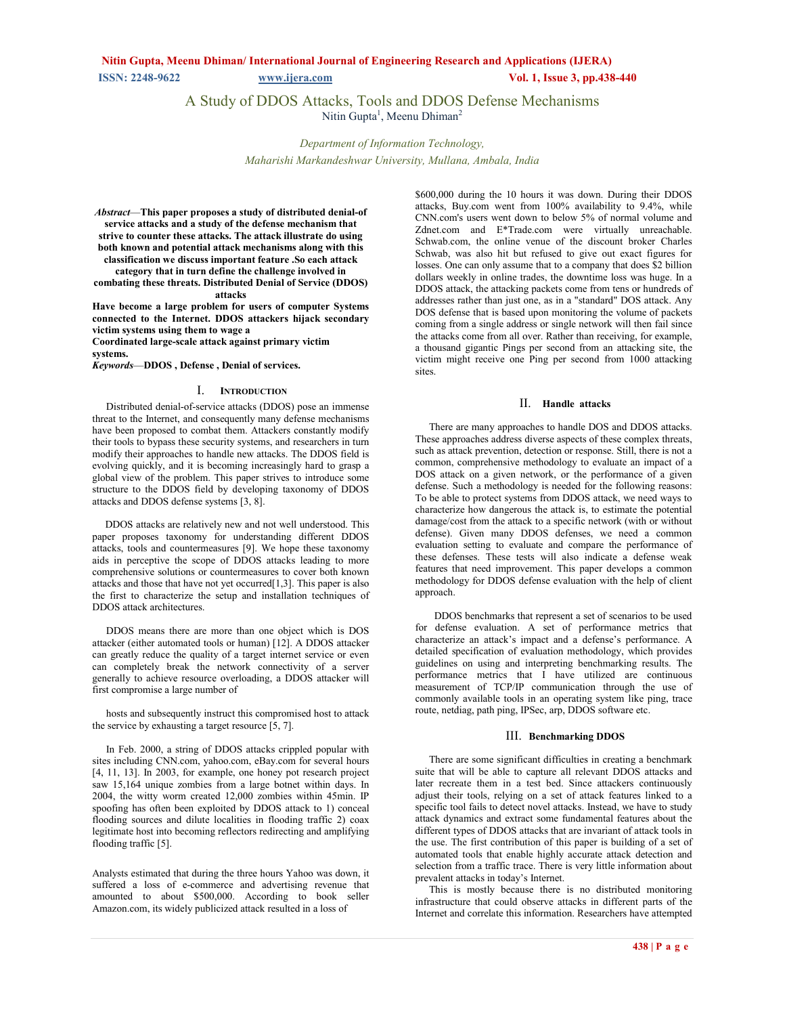# **Nitin Gupta, Meenu Dhiman/ International Journal of Engineering Research and Applications (IJERA) ISSN: 2248-9622** *www.ijera.com* **<b>Vol. 1, Issue 3, pp.438-440**

A Study of DDOS Attacks, Tools and DDOS Defense Mechanisms Nitin Gupta<sup>1</sup>, Meenu Dhiman<sup>2</sup>

> *Department of Information Technology, Maharishi Markandeshwar University, Mullana, Ambala, India*

*Abstract*—**This paper proposes a study of distributed denial-of service attacks and a study of the defense mechanism that strive to counter these attacks. The attack illustrate do using both known and potential attack mechanisms along with this classification we discuss important feature .So each attack category that in turn define the challenge involved in** 

**combating these threats. Distributed Denial of Service (DDOS) attacks**

**Have become a large problem for users of computer Systems connected to the Internet. DDOS attackers hijack secondary victim systems using them to wage a** 

**Coordinated large-scale attack against primary victim systems.** 

*Keywords*—**DDOS , Defense , Denial of services.**

### I. **INTRODUCTION**

Distributed denial-of-service attacks (DDOS) pose an immense threat to the Internet, and consequently many defense mechanisms have been proposed to combat them. Attackers constantly modify their tools to bypass these security systems, and researchers in turn modify their approaches to handle new attacks. The DDOS field is evolving quickly, and it is becoming increasingly hard to grasp a global view of the problem. This paper strives to introduce some structure to the DDOS field by developing taxonomy of DDOS attacks and DDOS defense systems [3, 8].

 DDOS attacks are relatively new and not well understood. This paper proposes taxonomy for understanding different DDOS attacks, tools and countermeasures [9]. We hope these taxonomy aids in perceptive the scope of DDOS attacks leading to more comprehensive solutions or countermeasures to cover both known attacks and those that have not yet occurred[1,3]. This paper is also the first to characterize the setup and installation techniques of DDOS attack architectures.

DDOS means there are more than one object which is DOS attacker (either automated tools or human) [12]. A DDOS attacker can greatly reduce the quality of a target internet service or even can completely break the network connectivity of a server generally to achieve resource overloading, a DDOS attacker will first compromise a large number of

hosts and subsequently instruct this compromised host to attack the service by exhausting a target resource  $\overline{5}$ , 7].

In Feb. 2000, a string of DDOS attacks crippled popular with sites including CNN.com, yahoo.com, eBay.com for several hours [4, 11, 13]. In 2003, for example, one honey pot research project saw 15,164 unique zombies from a large botnet within days. In 2004, the witty worm created 12,000 zombies within 45min. IP spoofing has often been exploited by DDOS attack to 1) conceal flooding sources and dilute localities in flooding traffic 2) coax legitimate host into becoming reflectors redirecting and amplifying flooding traffic [5].

Analysts estimated that during the three hours Yahoo was down, it suffered a loss of e-commerce and advertising revenue that amounted to about \$500,000. According to book seller Amazon.com, its widely publicized attack resulted in a loss of

\$600,000 during the 10 hours it was down. During their DDOS attacks, Buy.com went from 100% availability to 9.4%, while CNN.com's users went down to below 5% of normal volume and Zdnet.com and E\*Trade.com were virtually unreachable. Schwab.com, the online venue of the discount broker Charles Schwab, was also hit but refused to give out exact figures for losses. One can only assume that to a company that does \$2 billion dollars weekly in online trades, the downtime loss was huge. In a DDOS attack, the attacking packets come from tens or hundreds of addresses rather than just one, as in a "standard" DOS attack. Any DOS defense that is based upon monitoring the volume of packets coming from a single address or single network will then fail since the attacks come from all over. Rather than receiving, for example, a thousand gigantic Pings per second from an attacking site, the victim might receive one Ping per second from 1000 attacking sites.

## II. **Handle attacks**

There are many approaches to handle DOS and DDOS attacks. These approaches address diverse aspects of these complex threats, such as attack prevention, detection or response. Still, there is not a common, comprehensive methodology to evaluate an impact of a DOS attack on a given network, or the performance of a given defense. Such a methodology is needed for the following reasons: To be able to protect systems from DDOS attack, we need ways to characterize how dangerous the attack is, to estimate the potential damage/cost from the attack to a specific network (with or without defense). Given many DDOS defenses, we need a common evaluation setting to evaluate and compare the performance of these defenses. These tests will also indicate a defense weak features that need improvement. This paper develops a common methodology for DDOS defense evaluation with the help of client approach.

 DDOS benchmarks that represent a set of scenarios to be used for defense evaluation. A set of performance metrics that characterize an attack's impact and a defense's performance. A detailed specification of evaluation methodology, which provides guidelines on using and interpreting benchmarking results. The performance metrics that I have utilized are continuous measurement of TCP/IP communication through the use of commonly available tools in an operating system like ping, trace route, netdiag, path ping, IPSec, arp, DDOS software etc.

#### III. **Benchmarking DDOS**

There are some significant difficulties in creating a benchmark suite that will be able to capture all relevant DDOS attacks and later recreate them in a test bed. Since attackers continuously adjust their tools, relying on a set of attack features linked to a specific tool fails to detect novel attacks. Instead, we have to study attack dynamics and extract some fundamental features about the different types of DDOS attacks that are invariant of attack tools in the use. The first contribution of this paper is building of a set of automated tools that enable highly accurate attack detection and selection from a traffic trace. There is very little information about prevalent attacks in today's Internet.

This is mostly because there is no distributed monitoring infrastructure that could observe attacks in different parts of the Internet and correlate this information. Researchers have attempted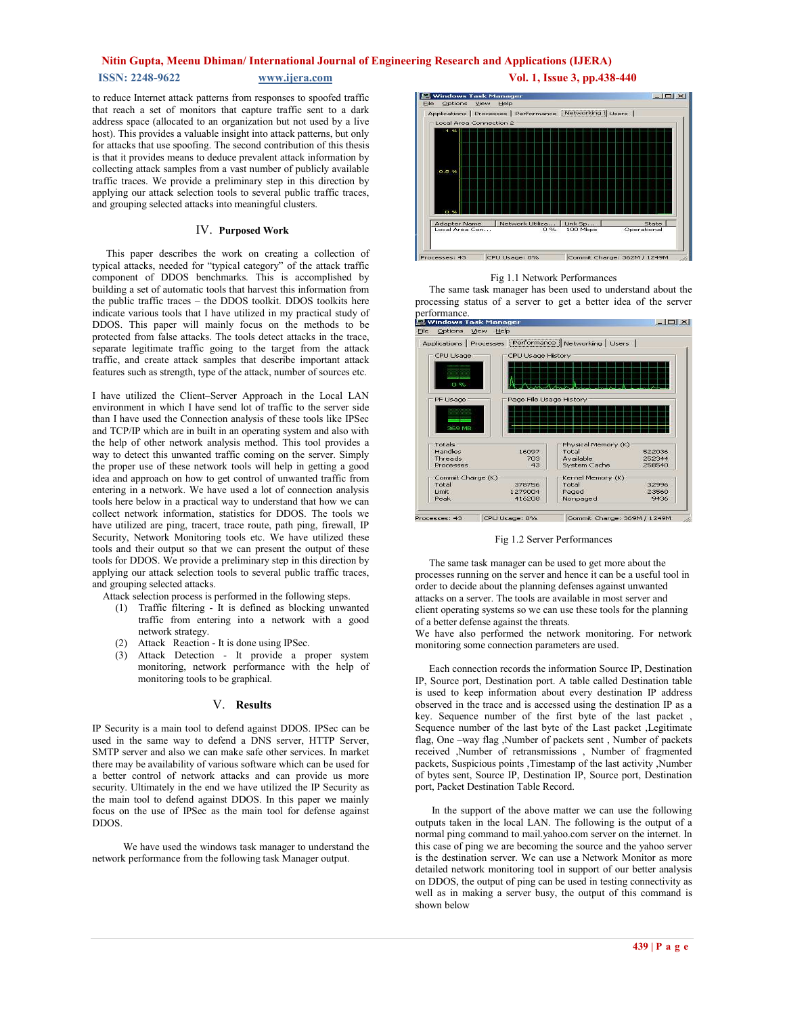### **Nitin Gupta, Meenu Dhiman/ International Journal of Engineering Research and Applications (IJERA)**

**ISSN: 2248-9622** www.ijera.com **Vol. 1, Issue 3, pp.438-440** 

to reduce Internet attack patterns from responses to spoofed traffic that reach a set of monitors that capture traffic sent to a dark address space (allocated to an organization but not used by a live host). This provides a valuable insight into attack patterns, but only for attacks that use spoofing. The second contribution of this thesis is that it provides means to deduce prevalent attack information by collecting attack samples from a vast number of publicly available traffic traces. We provide a preliminary step in this direction by applying our attack selection tools to several public traffic traces, and grouping selected attacks into meaningful clusters.

#### IV. **Purposed Work**

This paper describes the work on creating a collection of typical attacks, needed for "typical category" of the attack traffic component of DDOS benchmarks. This is accomplished by building a set of automatic tools that harvest this information from the public traffic traces – the DDOS toolkit. DDOS toolkits here indicate various tools that I have utilized in my practical study of DDOS. This paper will mainly focus on the methods to be protected from false attacks. The tools detect attacks in the trace, separate legitimate traffic going to the target from the attack traffic, and create attack samples that describe important attack features such as strength, type of the attack, number of sources etc.

I have utilized the Client–Server Approach in the Local LAN environment in which I have send lot of traffic to the server side than I have used the Connection analysis of these tools like IPSec and TCP/IP which are in built in an operating system and also with the help of other network analysis method. This tool provides a way to detect this unwanted traffic coming on the server. Simply the proper use of these network tools will help in getting a good idea and approach on how to get control of unwanted traffic from entering in a network. We have used a lot of connection analysis tools here below in a practical way to understand that how we can collect network information, statistics for DDOS. The tools we have utilized are ping, tracert, trace route, path ping, firewall, IP Security, Network Monitoring tools etc. We have utilized these tools and their output so that we can present the output of these tools for DDOS. We provide a preliminary step in this direction by applying our attack selection tools to several public traffic traces, and grouping selected attacks.

Attack selection process is performed in the following steps.

- (1) Traffic filtering It is defined as blocking unwanted traffic from entering into a network with a good network strategy.
- (2) Attack Reaction It is done using IPSec.
- (3) Attack Detection It provide a proper system monitoring, network performance with the help of monitoring tools to be graphical.

#### V. **Results**

IP Security is a main tool to defend against DDOS. IPSec can be used in the same way to defend a DNS server, HTTP Server, SMTP server and also we can make safe other services. In market there may be availability of various software which can be used for a better control of network attacks and can provide us more security. Ultimately in the end we have utilized the IP Security as the main tool to defend against DDOS. In this paper we mainly focus on the use of IPSec as the main tool for defense against DDOS.

 We have used the windows task manager to understand the network performance from the following task Manager output.





#### Fig 1.1 Network Performances

The same task manager has been used to understand about the processing status of a server to get a better idea of the server performance.<br>E Windows Task Manage  $\Box$   $\times$ 



Fig 1.2 Server Performances

The same task manager can be used to get more about the processes running on the server and hence it can be a useful tool in order to decide about the planning defenses against unwanted attacks on a server. The tools are available in most server and client operating systems so we can use these tools for the planning of a better defense against the threats.

We have also performed the network monitoring. For network monitoring some connection parameters are used.

Each connection records the information Source IP, Destination IP, Source port, Destination port. A table called Destination table is used to keep information about every destination IP address observed in the trace and is accessed using the destination IP as a key. Sequence number of the first byte of the last packet , Sequence number of the last byte of the Last packet ,Legitimate flag, One –way flag ,Number of packets sent , Number of packets received ,Number of retransmissions , Number of fragmented packets, Suspicious points ,Timestamp of the last activity ,Number of bytes sent, Source IP, Destination IP, Source port, Destination port, Packet Destination Table Record.

 In the support of the above matter we can use the following outputs taken in the local LAN. The following is the output of a normal ping command to mail.yahoo.com server on the internet. In this case of ping we are becoming the source and the yahoo server is the destination server. We can use a Network Monitor as more detailed network monitoring tool in support of our better analysis on DDOS, the output of ping can be used in testing connectivity as well as in making a server busy, the output of this command is shown below